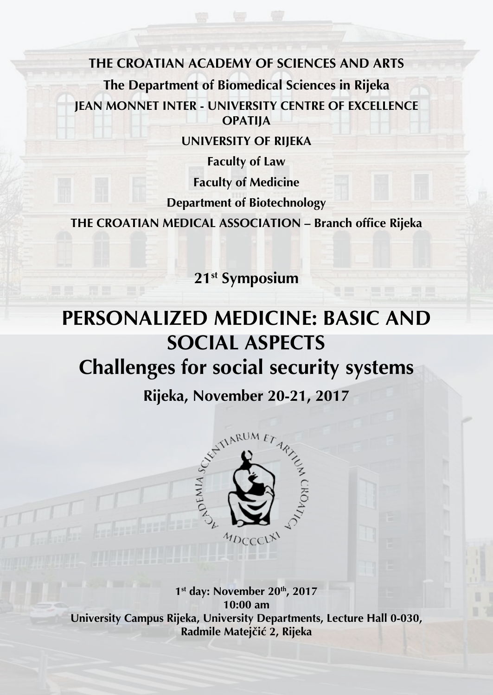**THE CROATIAN ACADEMY OF SCIENCES AND ARTS The Department of Biomedical Sciences in Rijeka JEAN MONNET INTER - UNIVERSITY CENTRE OF EXCELLENCE OPATIJA**

**UNIVERSITY OF RIJEKA**

**Faculty of Law Faculty of Medicine Department of Biotechnology**

**THE CROATIAN MEDICAL ASSOCIATION – Branch office Rijeka**

**21st Symposium**

# **PERSONALIZED MEDICINE: BASIC AND SOCIAL ASPECTS Challenges for social security systems**



**1st day: November 20th, 2017 10:00 am University Campus Rijeka, University Departments, Lecture Hall 0-030, Radmile Matejčić 2, Rijeka**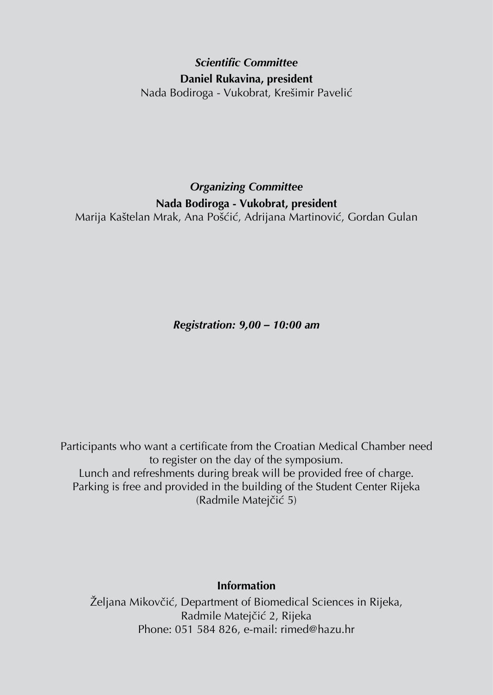# *Scientific Committee* **Daniel Rukavina, president** Nada Bodiroga - Vukobrat, Krešimir Pavelić

*Organizing Committee* **Nada Bodiroga - Vukobrat, president** Marija Kaštelan Mrak, Ana Pošćić, Adrijana Martinović, Gordan Gulan

*Registration: 9,00 – 10:00 am*

Participants who want a certificate from the Croatian Medical Chamber need to register on the day of the symposium. Lunch and refreshments during break will be provided free of charge. Parking is free and provided in the building of the Student Center Rijeka (Radmile Matejčić 5)

#### **Information**

Željana Mikovčić, Department of Biomedical Sciences in Rijeka, Radmile Matejčić 2, Rijeka Phone: 051 584 826, e-mail: rimed@hazu.hr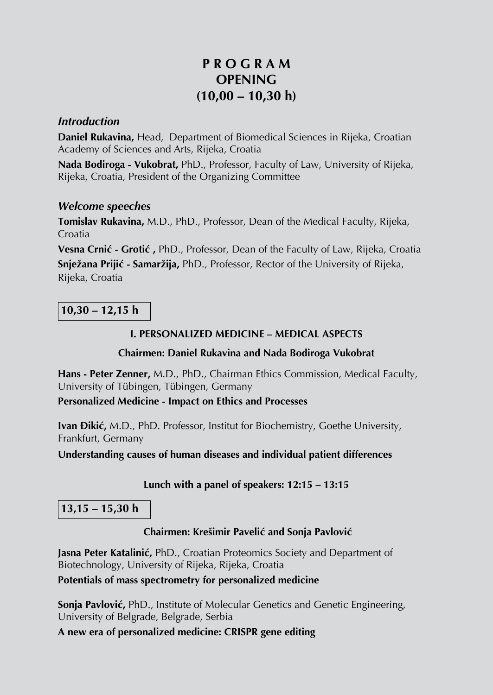# **P R O G R A M OPENING (10,00 – 10,30 h)**

#### *Introduction*

**Daniel Rukavina,** Head, Department of Biomedical Sciences in Rijeka, Croatian Academy of Sciences and Arts, Rijeka, Croatia

**Nada Bodiroga - Vukobrat,** PhD., Professor, Faculty of Law, University of Rijeka, Rijeka, Croatia, President of the Organizing Committee

#### *Welcome speeches*

**Tomislav Rukavina,** M.D., PhD., Professor, Dean of the Medical Faculty, Rijeka, Croatia

**Vesna Crnić - Grotić ,** PhD., Professor, Dean of the Faculty of Law, Rijeka, Croatia **Snježana Prijić - Samaržija,** PhD., Professor, Rector of the University of Rijeka, Rijeka, Croatia

**10,30 – 12,15 h**

# **I. PERSONALIZED MEDICINE – MEDICAL ASPECTS**

#### **Chairmen: Daniel Rukavina and Nada Bodiroga Vukobrat**

**Hans - Peter Zenner,** M.D., PhD., Chairman Ethics Commission, Medical Faculty, University of Tübingen, Tübingen, Germany

#### **Personalized Medicine - Impact on Ethics and Processes**

**Ivan Đikić,** M.D., PhD. Professor, Institut for Biochemistry, Goethe University, Frankfurt, Germany

**Understanding causes of human diseases and individual patient differences**

# **Lunch with a panel of speakers: 12:15 – 13:15**

**13,15 – 15,30 h**

# **Chairmen: Krešimir Pavelić and Sonja Pavlović**

**Jasna Peter Katalinić,** PhD., Croatian Proteomics Society and Department of Biotechnology, University of Rijeka, Rijeka, Croatia

#### **Potentials of mass spectrometry for personalized medicine**

**Sonja Pavlović,** PhD., Institute of Molecular Genetics and Genetic Engineering, University of Belgrade, Belgrade, Serbia

**A new era of personalized medicine: CRISPR gene editing**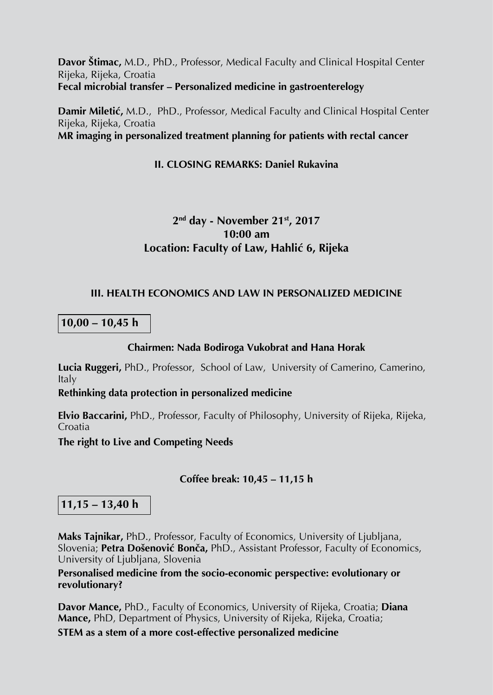**Davor Štimac,** M.D., PhD., Professor, Medical Faculty and Clinical Hospital Center Rijeka, Rijeka, Croatia **Fecal microbial transfer – Personalized medicine in gastroenterelogy**

**Damir Miletić,** M.D., PhD., Professor, Medical Faculty and Clinical Hospital Center Rijeka, Rijeka, Croatia **MR imaging in personalized treatment planning for patients with rectal cancer**

#### **II. CLOSING REMARKS: Daniel Rukavina**

# **2nd day - November 21st, 2017 10:00 am Location: Faculty of Law, Hahlić 6, Rijeka**

#### **III. HEALTH ECONOMICS AND LAW IN PERSONALIZED MEDICINE**

**10,00 – 10,45 h**

#### **Chairmen: Nada Bodiroga Vukobrat and Hana Horak**

**Lucia Ruggeri,** PhD., Professor, School of Law, University of Camerino, Camerino, Italy

**Rethinking data protection in personalized medicine**

**Elvio Baccarini,** PhD., Professor, Faculty of Philosophy, University of Rijeka, Rijeka, Croatia

**The right to Live and Competing Needs**

# **Coffee break: 10,45 – 11,15 h**

# **11,15 – 13,40 h**

**Maks Tajnikar,** PhD., Professor, Faculty of Economics, University of Ljubljana, Slovenia; **Petra Došenović Bonča,** PhD., Assistant Professor, Faculty of Economics, University of Ljubljana, Slovenia

**Personalised medicine from the socio-economic perspective: evolutionary or revolutionary?**

**Davor Mance,** PhD., Faculty of Economics, University of Rijeka, Croatia; **Diana Mance,** PhD, Department of Physics, University of Rijeka, Rijeka, Croatia;

**STEM as a stem of a more cost-effective personalized medicine**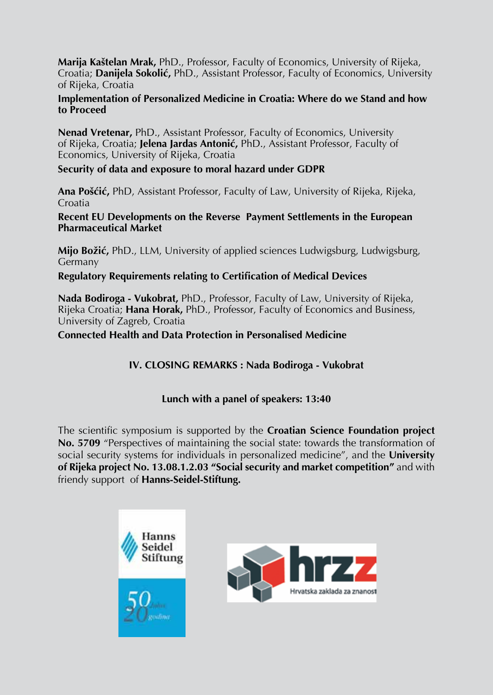**Marija Kaštelan Mrak,** PhD., Professor, Faculty of Economics, University of Rijeka, Croatia; **Danijela Sokolić,** PhD., Assistant Professor, Faculty of Economics, University of Rijeka, Croatia

#### **Implementation of Personalized Medicine in Croatia: Where do we Stand and how to Proceed**

**Nenad Vretenar,** PhD., Assistant Professor, Faculty of Economics, University of Rijeka, Croatia; **Jelena Jardas Antonić,** PhD., Assistant Professor, Faculty of Economics, University of Rijeka, Croatia

#### **Security of data and exposure to moral hazard under GDPR**

**Ana Pošćić,** PhD, Assistant Professor, Faculty of Law, University of Rijeka, Rijeka, Croatia

**Recent EU Developments on the Reverse Payment Settlements in the European Pharmaceutical Market**

**Mijo Božić,** PhD., LLM, University of applied sciences Ludwigsburg, Ludwigsburg, Germany

#### **Regulatory Requirements relating to Certification of Medical Devices**

**Nada Bodiroga - Vukobrat,** PhD., Professor, Faculty of Law, University of Rijeka, Rijeka Croatia; **Hana Horak,** PhD., Professor, Faculty of Economics and Business, University of Zagreb, Croatia

**Connected Health and Data Protection in Personalised Medicine**

# **IV. CLOSING REMARKS : Nada Bodiroga - Vukobrat**

# **Lunch with a panel of speakers: 13:40**

The scientific symposium is supported by the **Croatian Science Foundation project No. 5709** "Perspectives of maintaining the social state: towards the transformation of social security systems for individuals in personalized medicine", and the **University of Rijeka project No. 13.08.1.2.03 "Social security and market competition"** and with friendy support of **Hanns-Seidel-Stiftung.**



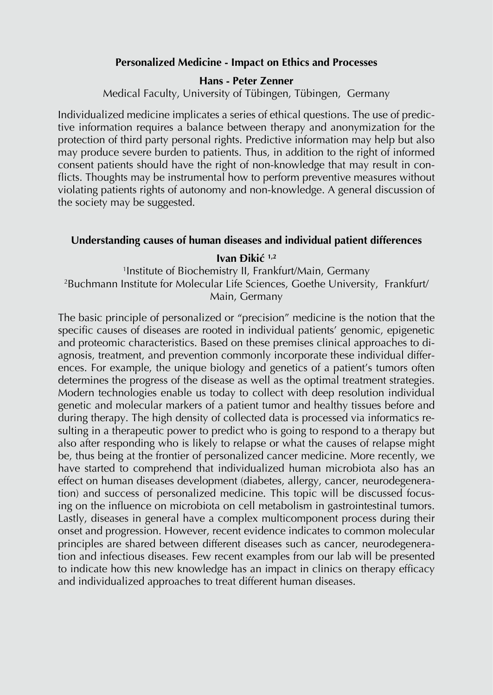#### **Personalized Medicine - Impact on Ethics and Processes**

#### **Hans - Peter Zenner**

Medical Faculty, University of Tübingen, Tübingen, Germany

Individualized medicine implicates a series of ethical questions. The use of predictive information requires a balance between therapy and anonymization for the protection of third party personal rights. Predictive information may help but also may produce severe burden to patients. Thus, in addition to the right of informed consent patients should have the right of non-knowledge that may result in conflicts. Thoughts may be instrumental how to perform preventive measures without violating patients rights of autonomy and non-knowledge. A general discussion of the society may be suggested.

#### **Understanding causes of human diseases and individual patient differences**

**Ivan Đikić 1,2**

1 Institute of Biochemistry II, Frankfurt/Main, Germany 2 Buchmann Institute for Molecular Life Sciences, Goethe University, Frankfurt/ Main, Germany

The basic principle of personalized or "precision" medicine is the notion that the specific causes of diseases are rooted in individual patients' genomic, epigenetic and proteomic characteristics. Based on these premises clinical approaches to diagnosis, treatment, and prevention commonly incorporate these individual differences. For example, the unique biology and genetics of a patient's tumors often determines the progress of the disease as well as the optimal treatment strategies. Modern technologies enable us today to collect with deep resolution individual genetic and molecular markers of a patient tumor and healthy tissues before and during therapy. The high density of collected data is processed via informatics resulting in a therapeutic power to predict who is going to respond to a therapy but also after responding who is likely to relapse or what the causes of relapse might be, thus being at the frontier of personalized cancer medicine. More recently, we have started to comprehend that individualized human microbiota also has an effect on human diseases development (diabetes, allergy, cancer, neurodegeneration) and success of personalized medicine. This topic will be discussed focusing on the influence on microbiota on cell metabolism in gastrointestinal tumors. Lastly, diseases in general have a complex multicomponent process during their onset and progression. However, recent evidence indicates to common molecular principles are shared between different diseases such as cancer, neurodegeneration and infectious diseases. Few recent examples from our lab will be presented to indicate how this new knowledge has an impact in clinics on therapy efficacy and individualized approaches to treat different human diseases.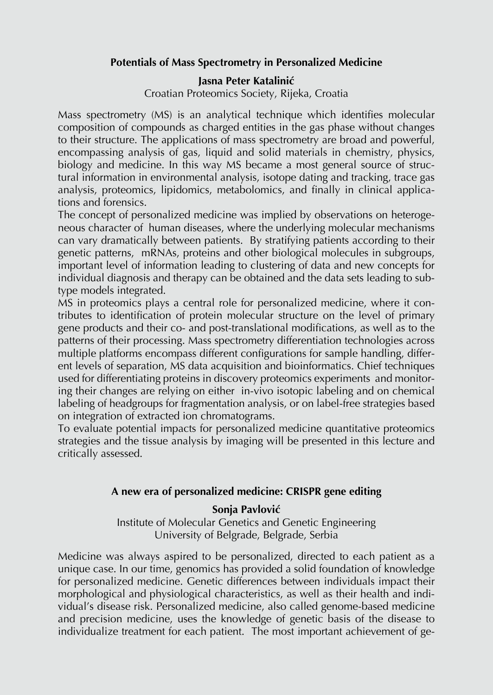# **Potentials of Mass Spectrometry in Personalized Medicine**

# **Jasna Peter Katalinić**

Croatian Proteomics Society, Rijeka, Croatia

Mass spectrometry (MS) is an analytical technique which identifies molecular composition of compounds as charged entities in the gas phase without changes to their structure. The applications of mass spectrometry are broad and powerful, encompassing analysis of gas, liquid and solid materials in chemistry, physics, biology and medicine. In this way MS became a most general source of structural information in environmental analysis, isotope dating and tracking, trace gas analysis, proteomics, lipidomics, metabolomics, and finally in clinical applications and forensics.

The concept of personalized medicine was implied by observations on heterogeneous character of human diseases, where the underlying molecular mechanisms can vary dramatically between patients. By stratifying patients according to their genetic patterns, mRNAs, proteins and other biological molecules in subgroups, important level of information leading to clustering of data and new concepts for individual diagnosis and therapy can be obtained and the data sets leading to subtype models integrated.

MS in proteomics plays a central role for personalized medicine, where it contributes to identification of protein molecular structure on the level of primary gene products and their co- and post-translational modifications, as well as to the patterns of their processing. Mass spectrometry differentiation technologies across multiple platforms encompass different configurations for sample handling, different levels of separation, MS data acquisition and bioinformatics. Chief techniques used for differentiating proteins in discovery proteomics experiments and monitoring their changes are relying on either in-vivo isotopic labeling and on chemical labeling of headgroups for fragmentation analysis, or on label-free strategies based on integration of extracted ion chromatograms.

To evaluate potential impacts for personalized medicine quantitative proteomics strategies and the tissue analysis by imaging will be presented in this lecture and critically assessed.

# **A new era of personalized medicine: CRISPR gene editing**

# **Sonja Pavlović**

Institute of Molecular Genetics and Genetic Engineering University of Belgrade, Belgrade, Serbia

Medicine was always aspired to be personalized, directed to each patient as a unique case. In our time, genomics has provided a solid foundation of knowledge for personalized medicine. Genetic differences between individuals impact their morphological and physiological characteristics, as well as their health and individual's disease risk. Personalized medicine, also called genome-based medicine and precision medicine, uses the knowledge of genetic basis of the disease to individualize treatment for each patient. The most important achievement of ge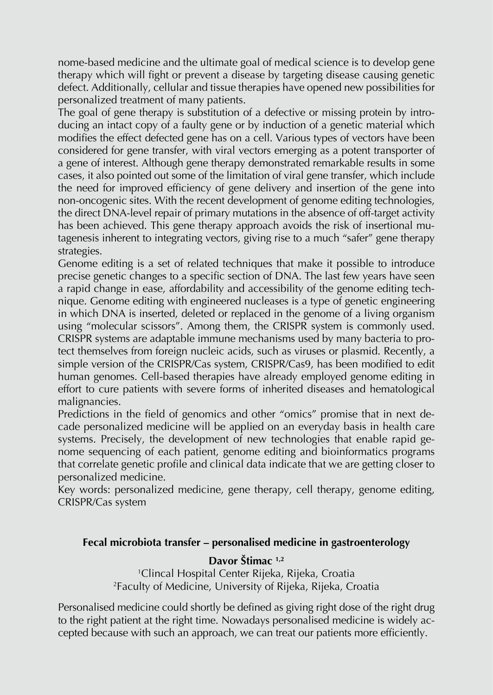nome-based medicine and the ultimate goal of medical science is to develop gene therapy which will fight or prevent a disease by targeting disease causing genetic defect. Additionally, cellular and tissue therapies have opened new possibilities for personalized treatment of many patients.

The goal of gene therapy is substitution of a defective or missing protein by introducing an intact copy of a faulty gene or by induction of a genetic material which modifies the effect defected gene has on a cell. Various types of vectors have been considered for gene transfer, with viral vectors emerging as a potent transporter of a gene of interest. Although gene therapy demonstrated remarkable results in some cases, it also pointed out some of the limitation of viral gene transfer, which include the need for improved efficiency of gene delivery and insertion of the gene into non-oncogenic sites. With the recent development of genome editing technologies, the direct DNA-level repair of primary mutations in the absence of off-target activity has been achieved. This gene therapy approach avoids the risk of insertional mutagenesis inherent to integrating vectors, giving rise to a much "safer" gene therapy strategies.

Genome editing is a set of related techniques that make it possible to introduce precise genetic changes to a specific section of DNA. The last few years have seen a rapid change in ease, affordability and accessibility of the genome editing technique. Genome editing with engineered nucleases is a type of genetic engineering in which DNA is inserted, deleted or replaced in the genome of a living organism using "molecular scissors". Among them, the CRISPR system is commonly used. CRISPR systems are adaptable immune mechanisms used by many bacteria to protect themselves from foreign nucleic acids, such as viruses or plasmid. Recently, a simple version of the CRISPR/Cas system, CRISPR/Cas9, has been modified to edit human genomes. Cell-based therapies have already employed genome editing in effort to cure patients with severe forms of inherited diseases and hematological malignancies.

Predictions in the field of genomics and other "omics" promise that in next decade personalized medicine will be applied on an everyday basis in health care systems. Precisely, the development of new technologies that enable rapid genome sequencing of each patient, genome editing and bioinformatics programs that correlate genetic profile and clinical data indicate that we are getting closer to personalized medicine.

Key words: personalized medicine, gene therapy, cell therapy, genome editing, CRISPR/Cas system

# **Fecal microbiota transfer – personalised medicine in gastroenterology**

**Davor Štimac 1,2**

1 Clincal Hospital Center Rijeka, Rijeka, Croatia 2 Faculty of Medicine, University of Rijeka, Rijeka, Croatia

Personalised medicine could shortly be defined as giving right dose of the right drug to the right patient at the right time. Nowadays personalised medicine is widely accepted because with such an approach, we can treat our patients more efficiently.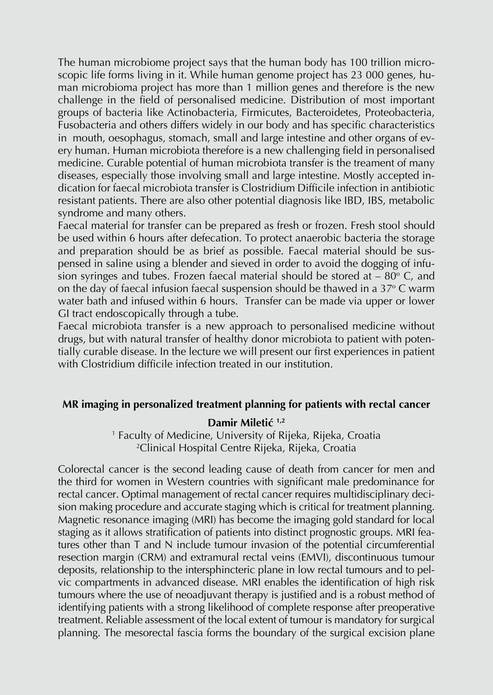The human microbiome project says that the human body has 100 trillion microscopic life forms living in it. While human genome project has 23 000 genes, human microbioma project has more than 1 million genes and therefore is the new challenge in the field of personalised medicine. Distribution of most important groups of bacteria like Actinobacteria, Firmicutes, Bacteroidetes, Proteobacteria, Fusobacteria and others differs widely in our body and has specific characteristics in mouth, oesophagus, stomach, small and large intestine and other organs of every human. Human microbiota therefore is a new challenging field in personalised medicine. Curable potential of human microbiota transfer is the treament of many diseases, especially those involving small and large intestine. Mostly accepted indication for faecal microbiota transfer is Clostridium Difficile infection in antibiotic resistant patients. There are also other potential diagnosis like IBD, IBS, metabolic syndrome and many others.

Faecal material for transfer can be prepared as fresh or frozen. Fresh stool should be used within 6 hours after defecation. To protect anaerobic bacteria the storage and preparation should be as brief as possible. Faecal material should be suspensed in saline using a blender and sieved in order to avoid the dogging of infusion syringes and tubes. Frozen faecal material should be stored at – 80° C, and on the day of faecal infusion faecal suspension should be thawed in a 37° C warm  $\,$ water bath and infused within 6 hours. Transfer can be made via upper or lower GI tract endoscopically through a tube.

Faecal microbiota transfer is a new approach to personalised medicine without drugs, but with natural transfer of healthy donor microbiota to patient with potentially curable disease. In the lecture we will present our first experiences in patient with Clostridium difficile infection treated in our institution

# **MR imaging in personalized treatment planning for patients with rectal cancer**

#### **Damir Miletić 1,2**

1 Faculty of Medicine, University of Rijeka, Rijeka, Croatia 2 Clinical Hospital Centre Rijeka, Rijeka, Croatia

Colorectal cancer is the second leading cause of death from cancer for men and the third for women in Western countries with significant male predominance for rectal cancer. Optimal management of rectal cancer requires multidisciplinary decision making procedure and accurate staging which is critical for treatment planning. Magnetic resonance imaging (MRI) has become the imaging gold standard for local staging as it allows stratification of patients into distinct prognostic groups. MRI features other than T and N include tumour invasion of the potential circumferential resection margin (CRM) and extramural rectal veins (EMVI), discontinuous tumour deposits, relationship to the intersphincteric plane in low rectal tumours and to pelvic compartments in advanced disease. MRI enables the identification of high risk tumours where the use of neoadjuvant therapy is justified and is a robust method of identifying patients with a strong likelihood of complete response after preoperative treatment. Reliable assessment of the local extent of tumour is mandatory for surgical planning. The mesorectal fascia forms the boundary of the surgical excision plane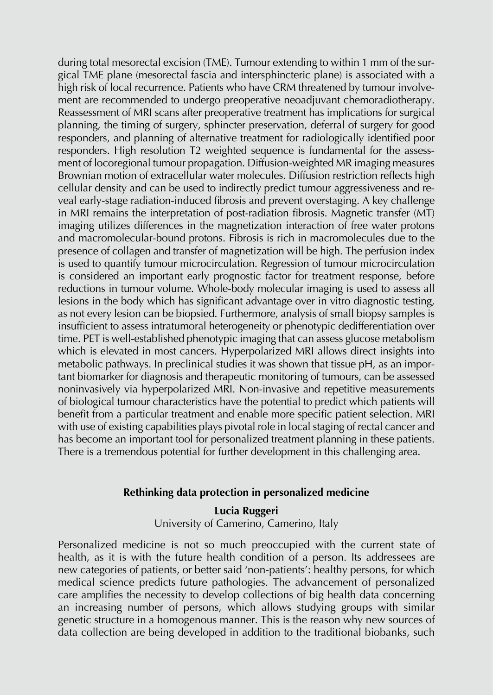during total mesorectal excision (TME). Tumour extending to within 1 mm of the surgical TME plane (mesorectal fascia and intersphincteric plane) is associated with a high risk of local recurrence. Patients who have CRM threatened by tumour involvement are recommended to undergo preoperative neoadjuvant chemoradiotherapy. Reassessment of MRI scans after preoperative treatment has implications for surgical planning, the timing of surgery, sphincter preservation, deferral of surgery for good responders, and planning of alternative treatment for radiologically identified poor responders. High resolution T2 weighted sequence is fundamental for the assessment of locoregional tumour propagation. Diffusion-weighted MR imaging measures Brownian motion of extracellular water molecules. Diffusion restriction reflects high cellular density and can be used to indirectly predict tumour aggressiveness and reveal early-stage radiation-induced fibrosis and prevent overstaging. A key challenge in MRI remains the interpretation of post-radiation fibrosis. Magnetic transfer (MT) imaging utilizes differences in the magnetization interaction of free water protons and macromolecular-bound protons. Fibrosis is rich in macromolecules due to the presence of collagen and transfer of magnetization will be high. The perfusion index is used to quantify tumour microcirculation. Regression of tumour microcirculation is considered an important early prognostic factor for treatment response, before reductions in tumour volume. Whole-body molecular imaging is used to assess all lesions in the body which has significant advantage over in vitro diagnostic testing, as not every lesion can be biopsied. Furthermore, analysis of small biopsy samples is insufficient to assess intratumoral heterogeneity or phenotypic dedifferentiation over time. PET is well-established phenotypic imaging that can assess glucose metabolism which is elevated in most cancers. Hyperpolarized MRI allows direct insights into metabolic pathways. In preclinical studies it was shown that tissue pH, as an important biomarker for diagnosis and therapeutic monitoring of tumours, can be assessed noninvasively via hyperpolarized MRI. Non-invasive and repetitive measurements of biological tumour characteristics have the potential to predict which patients will benefit from a particular treatment and enable more specific patient selection. MRI with use of existing capabilities plays pivotal role in local staging of rectal cancer and has become an important tool for personalized treatment planning in these patients. There is a tremendous potential for further development in this challenging area.

# **Rethinking data protection in personalized medicine**

**Lucia Ruggeri** University of Camerino, Camerino, Italy

Personalized medicine is not so much preoccupied with the current state of health, as it is with the future health condition of a person. Its addressees are new categories of patients, or better said 'non-patients': healthy persons, for which medical science predicts future pathologies. The advancement of personalized care amplifies the necessity to develop collections of big health data concerning an increasing number of persons, which allows studying groups with similar genetic structure in a homogenous manner. This is the reason why new sources of data collection are being developed in addition to the traditional biobanks, such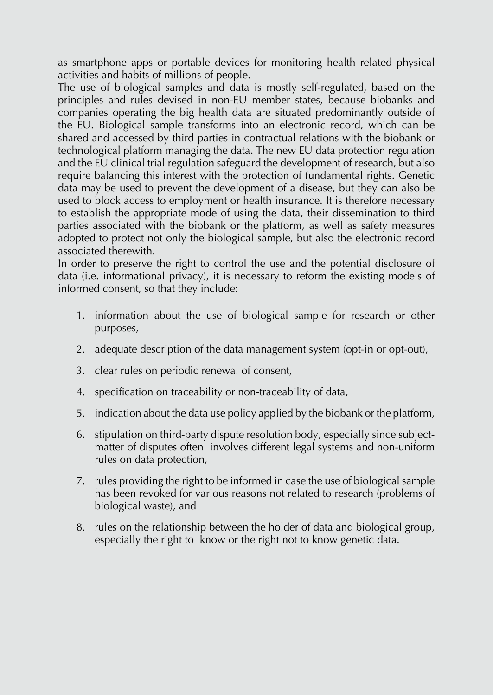as smartphone apps or portable devices for monitoring health related physical activities and habits of millions of people.

The use of biological samples and data is mostly self-regulated, based on the principles and rules devised in non-EU member states, because biobanks and companies operating the big health data are situated predominantly outside of the EU. Biological sample transforms into an electronic record, which can be shared and accessed by third parties in contractual relations with the biobank or technological platform managing the data. The new EU data protection regulation and the EU clinical trial regulation safeguard the development of research, but also require balancing this interest with the protection of fundamental rights. Genetic data may be used to prevent the development of a disease, but they can also be used to block access to employment or health insurance. It is therefore necessary to establish the appropriate mode of using the data, their dissemination to third parties associated with the biobank or the platform, as well as safety measures adopted to protect not only the biological sample, but also the electronic record associated therewith.

In order to preserve the right to control the use and the potential disclosure of data (i.e. informational privacy), it is necessary to reform the existing models of informed consent, so that they include:

- 1. information about the use of biological sample for research or other purposes,
- 2. adequate description of the data management system (opt-in or opt-out),
- 3. clear rules on periodic renewal of consent,
- 4. specification on traceability or non-traceability of data,
- 5. indication about the data use policy applied by the biobank or the platform,
- 6. stipulation on third-party dispute resolution body, especially since subjectmatter of disputes often involves different legal systems and non-uniform rules on data protection,
- 7. rules providing the right to be informed in case the use of biological sample has been revoked for various reasons not related to research (problems of biological waste), and
- 8. rules on the relationship between the holder of data and biological group, especially the right to know or the right not to know genetic data.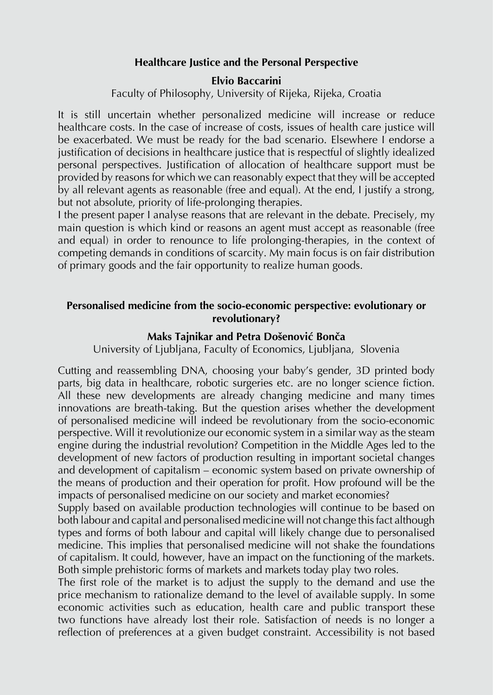# **Healthcare Justice and the Personal Perspective**

#### **Elvio Baccarini**

Faculty of Philosophy, University of Rijeka, Rijeka, Croatia

It is still uncertain whether personalized medicine will increase or reduce healthcare costs. In the case of increase of costs, issues of health care justice will be exacerbated. We must be ready for the bad scenario. Elsewhere I endorse a justification of decisions in healthcare justice that is respectful of slightly idealized personal perspectives. Justification of allocation of healthcare support must be provided by reasons for which we can reasonably expect that they will be accepted by all relevant agents as reasonable (free and equal). At the end, I justify a strong, but not absolute, priority of life-prolonging therapies.

I the present paper I analyse reasons that are relevant in the debate. Precisely, my main question is which kind or reasons an agent must accept as reasonable (free and equal) in order to renounce to life prolonging-therapies, in the context of competing demands in conditions of scarcity. My main focus is on fair distribution of primary goods and the fair opportunity to realize human goods.

#### **Personalised medicine from the socio-economic perspective: evolutionary or revolutionary?**

#### **Maks Tajnikar and Petra Došenović Bonča**

University of Ljubljana, Faculty of Economics, Ljubljana, Slovenia

Cutting and reassembling DNA, choosing your baby's gender, 3D printed body parts, big data in healthcare, robotic surgeries etc. are no longer science fiction. All these new developments are already changing medicine and many times innovations are breath-taking. But the question arises whether the development of personalised medicine will indeed be revolutionary from the socio-economic perspective. Will it revolutionize our economic system in a similar way as the steam engine during the industrial revolution? Competition in the Middle Ages led to the development of new factors of production resulting in important societal changes and development of capitalism – economic system based on private ownership of the means of production and their operation for profit. How profound will be the impacts of personalised medicine on our society and market economies?

Supply based on available production technologies will continue to be based on both labour and capital and personalised medicine will not change this fact although types and forms of both labour and capital will likely change due to personalised medicine. This implies that personalised medicine will not shake the foundations of capitalism. It could, however, have an impact on the functioning of the markets. Both simple prehistoric forms of markets and markets today play two roles.

The first role of the market is to adjust the supply to the demand and use the price mechanism to rationalize demand to the level of available supply. In some economic activities such as education, health care and public transport these two functions have already lost their role. Satisfaction of needs is no longer a reflection of preferences at a given budget constraint. Accessibility is not based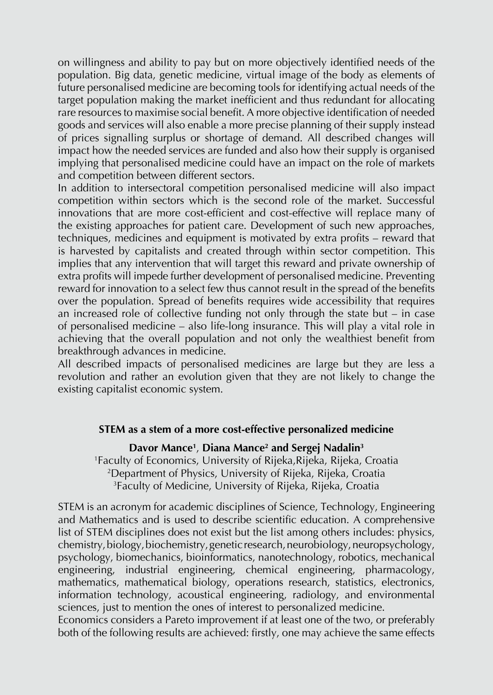on willingness and ability to pay but on more objectively identified needs of the population. Big data, genetic medicine, virtual image of the body as elements of future personalised medicine are becoming tools for identifying actual needs of the target population making the market inefficient and thus redundant for allocating rare resources to maximise social benefit. A more objective identification of needed goods and services will also enable a more precise planning of their supply instead of prices signalling surplus or shortage of demand. All described changes will impact how the needed services are funded and also how their supply is organised implying that personalised medicine could have an impact on the role of markets and competition between different sectors.

In addition to intersectoral competition personalised medicine will also impact competition within sectors which is the second role of the market. Successful innovations that are more cost-efficient and cost-effective will replace many of the existing approaches for patient care. Development of such new approaches, techniques, medicines and equipment is motivated by extra profits – reward that is harvested by capitalists and created through within sector competition. This implies that any intervention that will target this reward and private ownership of extra profits will impede further development of personalised medicine. Preventing reward for innovation to a select few thus cannot result in the spread of the benefits over the population. Spread of benefits requires wide accessibility that requires an increased role of collective funding not only through the state but – in case of personalised medicine – also life-long insurance. This will play a vital role in achieving that the overall population and not only the wealthiest benefit from breakthrough advances in medicine.

All described impacts of personalised medicines are large but they are less a revolution and rather an evolution given that they are not likely to change the existing capitalist economic system.

#### **STEM as a stem of a more cost-effective personalized medicine**

# **Davor Mance1** , **Diana Mance2 and Sergej Nadalin3**

1 Faculty of Economics, University of Rijeka,Rijeka, Rijeka, Croatia 2 Department of Physics, University of Rijeka, Rijeka, Croatia 3 Faculty of Medicine, University of Rijeka, Rijeka, Croatia

STEM is an acronym for academic disciplines of Science, Technology, Engineering and Mathematics and is used to describe scientific education. A comprehensive list of STEM disciplines does not exist but the list among others includes: physics, chemistry, biology, biochemistry, genetic research, neurobiology, neuropsychology, psychology, biomechanics, bioinformatics, nanotechnology, robotics, mechanical engineering, industrial engineering, chemical engineering, pharmacology, mathematics, mathematical biology, operations research, statistics, electronics, information technology, acoustical engineering, radiology, and environmental sciences, just to mention the ones of interest to personalized medicine.

Economics considers a Pareto improvement if at least one of the two, or preferably both of the following results are achieved: firstly, one may achieve the same effects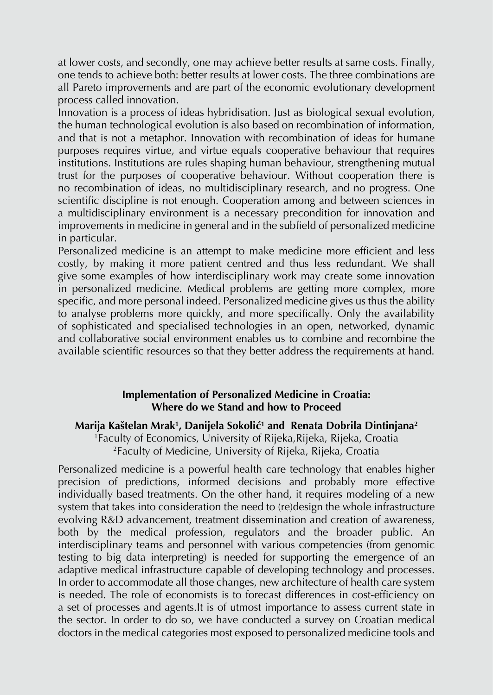at lower costs, and secondly, one may achieve better results at same costs. Finally, one tends to achieve both: better results at lower costs. The three combinations are all Pareto improvements and are part of the economic evolutionary development process called innovation.

Innovation is a process of ideas hybridisation. Just as biological sexual evolution, the human technological evolution is also based on recombination of information, and that is not a metaphor. Innovation with recombination of ideas for humane purposes requires virtue, and virtue equals cooperative behaviour that requires institutions. Institutions are rules shaping human behaviour, strengthening mutual trust for the purposes of cooperative behaviour. Without cooperation there is no recombination of ideas, no multidisciplinary research, and no progress. One scientific discipline is not enough. Cooperation among and between sciences in a multidisciplinary environment is a necessary precondition for innovation and improvements in medicine in general and in the subfield of personalized medicine in particular.

Personalized medicine is an attempt to make medicine more efficient and less costly, by making it more patient centred and thus less redundant. We shall give some examples of how interdisciplinary work may create some innovation in personalized medicine. Medical problems are getting more complex, more specific, and more personal indeed. Personalized medicine gives us thus the ability to analyse problems more quickly, and more specifically. Only the availability of sophisticated and specialised technologies in an open, networked, dynamic and collaborative social environment enables us to combine and recombine the available scientific resources so that they better address the requirements at hand.

# **Implementation of Personalized Medicine in Croatia: Where do we Stand and how to Proceed**

# **Marija Kaštelan Mrak1 , Danijela Sokolić<sup>1</sup> and Renata Dobrila Dintinjana2**

1 Faculty of Economics, University of Rijeka,Rijeka, Rijeka, Croatia 2 Faculty of Medicine, University of Rijeka, Rijeka, Croatia

Personalized medicine is a powerful health care technology that enables higher precision of predictions, informed decisions and probably more effective individually based treatments. On the other hand, it requires modeling of a new system that takes into consideration the need to (re)design the whole infrastructure evolving R&D advancement, treatment dissemination and creation of awareness, both by the medical profession, regulators and the broader public. An interdisciplinary teams and personnel with various competencies (from genomic testing to big data interpreting) is needed for supporting the emergence of an adaptive medical infrastructure capable of developing technology and processes. In order to accommodate all those changes, new architecture of health care system is needed. The role of economists is to forecast differences in cost-efficiency on a set of processes and agents.It is of utmost importance to assess current state in the sector. In order to do so, we have conducted a survey on Croatian medical doctors in the medical categories most exposed to personalized medicine tools and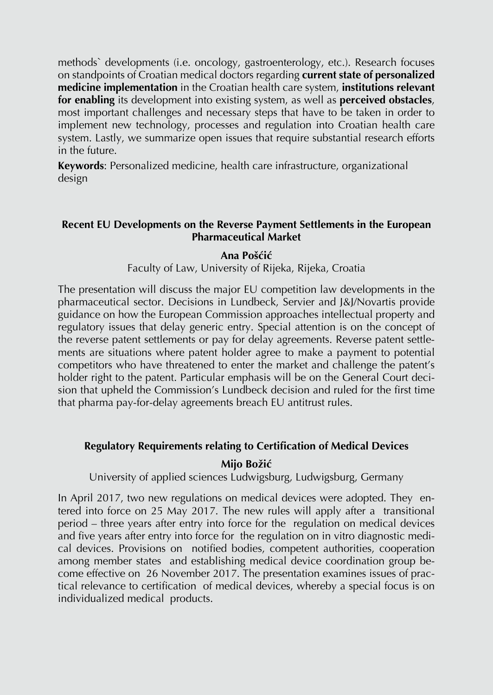methods` developments (i.e. oncology, gastroenterology, etc.). Research focuses on standpoints of Croatian medical doctors regarding **current state of personalized medicine implementation** in the Croatian health care system, **institutions relevant for enabling** its development into existing system, as well as **perceived obstacles**, most important challenges and necessary steps that have to be taken in order to implement new technology, processes and regulation into Croatian health care system. Lastly, we summarize open issues that require substantial research efforts in the future.

**Keywords**: Personalized medicine, health care infrastructure, organizational design

# **Recent EU Developments on the Reverse Payment Settlements in the European Pharmaceutical Market**

# **Ana Pošćić**

Faculty of Law, University of Rijeka, Rijeka, Croatia

The presentation will discuss the major EU competition law developments in the pharmaceutical sector. Decisions in Lundbeck, Servier and J&J/Novartis provide guidance on how the European Commission approaches intellectual property and regulatory issues that delay generic entry. Special attention is on the concept of the reverse patent settlements or pay for delay agreements. Reverse patent settlements are situations where patent holder agree to make a payment to potential competitors who have threatened to enter the market and challenge the patent's holder right to the patent. Particular emphasis will be on the General Court decision that upheld the Commission's Lundbeck decision and ruled for the first time that pharma pay-for-delay agreements breach EU antitrust rules.

# **Regulatory Requirements relating to Certification of Medical Devices**

# **Mijo Božić**

University of applied sciences Ludwigsburg, Ludwigsburg, Germany

In April 2017, two new regulations on medical devices were adopted. They entered into force on 25 May 2017. The new rules will apply after a transitional period – three years after entry into force for the regulation on medical devices and five years after entry into force for the regulation on in vitro diagnostic medical devices. Provisions on notified bodies, competent authorities, cooperation among member states and establishing medical device coordination group become effective on 26 November 2017. The presentation examines issues of practical relevance to certification of medical devices, whereby a special focus is on individualized medical products.